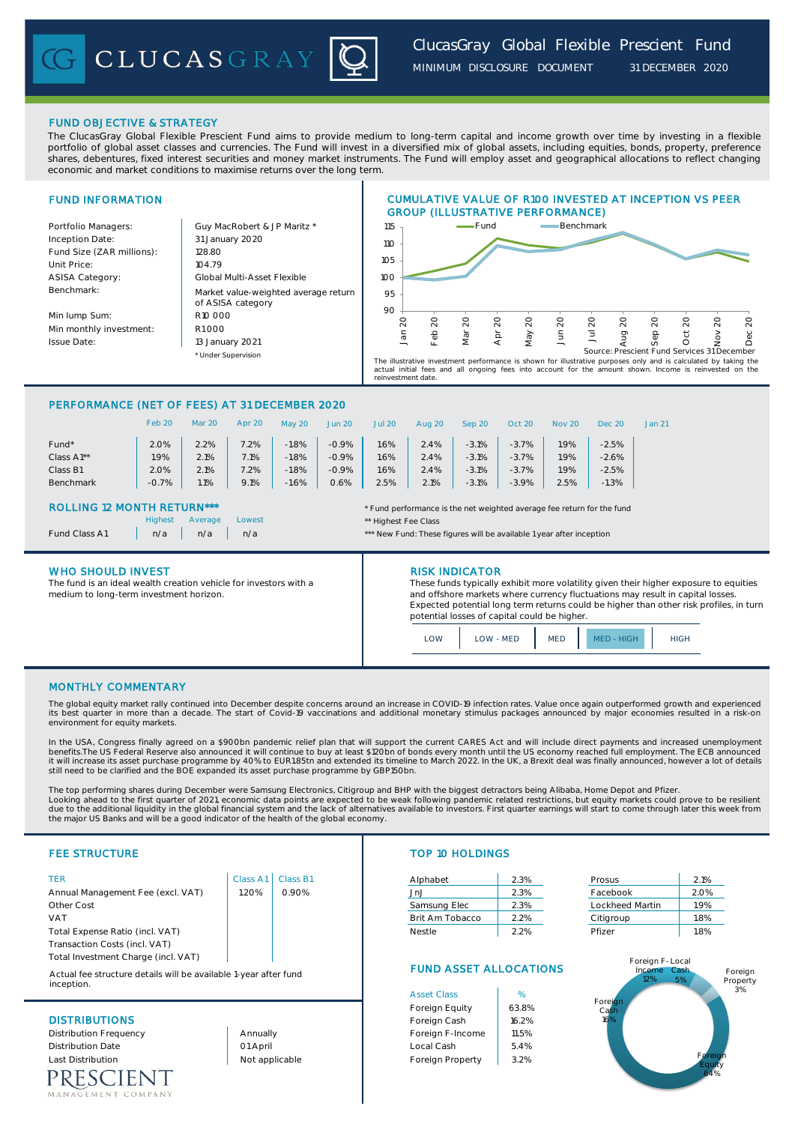# FUND OBJECTIVE & STRATEGY

The ClucasGray Global Flexible Prescient Fund aims to provide medium to long-term capital and income growth over time by investing in a flexible portfolio of global asset classes and currencies. The Fund will invest in a diversified mix of global assets, including equities, bonds, property, preference shares, debentures, fixed interest securities and money market instruments. The Fund will employ asset and geographical allocations to reflect changing economic and market conditions to maximise returns over the long term.

# FUND INFORMATION

Inception Date: Fund Size (ZAR millions): | 128.80 Unit Price: 104.79 ASISA Category: Benchmark:

Min lump Sum: Min monthly investment: Issue Date:

Portfolio Managers: <br> Guy MacRobert & JP Maritz \* \* Under Supervision Market value-weighted average return of ASISA category 13 January 2021 31 January 2020 R1 000 Global Multi-Asset Flexible R10 000



The illustrative investment performance is shown for illustrative purposes only and is calculated by taking the<br>actual initial fees and all ongoing fees into account for the amount shown. Income is reinvested on the<br>reinve

# PERFORMANCE (NET OF FEES) AT 31 DECEMBER 2020

|            | Feb 20  | <b>Mar 20</b> | Apr 20 | May 20  | <b>Jun 20</b> | <b>Jul 20</b> | Aug 20 | Sep 20  | Oct 20  | <b>Nov 20</b> | Dec 20  | Jan 21 |
|------------|---------|---------------|--------|---------|---------------|---------------|--------|---------|---------|---------------|---------|--------|
| Fund*      | 2.0%    | 2.2%          | 7.2%   | $-1.8%$ | $-0.9%$       | 1.6%          | 2.4%   | $-3.1%$ | $-3.7%$ | .9%           | $-2.5%$ |        |
| Class A1** | $.9\%$  | 2.1%          | 7.1%   | $-1.8%$ | $-0.9%$       | 1.6%          | 2.4%   | $-3.1%$ | $-3.7%$ | 1.9%          | $-2.6%$ |        |
| Class B1   | 2.0%    | 2.1%          | 2%     | $-1.8%$ | $-0.9%$       | 1.6%          | 2.4%   | $-3.1%$ | $-3.7%$ | .9%           | $-2.5%$ |        |
| Benchmark  | $-0.7%$ | 1.1%          | 9.1%   | $-1.6%$ | 0.6%          | 2.5%          | 2.1%   | $-3.1%$ | $-3.9%$ | 2.5%          | $-1.3%$ |        |

Lowest **Lowest Lowest Lowest Exercise 2 Exercise 2 Exercise 2 Exercise 2 Exercise 2 Exercise 2 Exercise 2 Exercise 2 Exercise 2 Exercise 2 Exercise 2 Exercise 2 Exercise 2 Exercise 2 Exerc** 

## ROLLING 12 MONTH RETURN\*\*\* \* Fund performance is the net weighted average fee return for the fund

|                      | <b>Highest</b> |  |
|----------------------|----------------|--|
| <b>Fund Class A1</b> | n/a            |  |

medium to long-term investment horizon.

The fund is an ideal wealth creation vehicle for investors with a

## WHO SHOULD INVEST **RISK INDICATOR**

These funds typically exhibit more volatility given their higher exposure to equities and offshore markets where currency fluctuations may result in capital losses. Expected potential long term returns could be higher than other risk profiles, in turn potential losses of capital could be higher.

LOW LOW MED MED MED HIGH HIGH

# MONTHLY COMMENTARY

The global equity market rally continued into December despite concerns around an increase in COVID-19 infection rates. Value once again outperformed growth and experienced its best quarter in more than a decade. The start of Covid-19 vaccinations and additional monetary stimulus packages announced by major economies resulted in a risk-on environment for equity markets.

n/a n/a n/a n/a n/a  $\cdots$   $\cdots$  n/a  $\cdots$  n/a  $\cdots$  n/a  $\cdots$  n/a  $\cdots$  n/a  $\cdots$  n/a  $\cdots$  n/a  $\cdots$  n/a  $\cdots$  n/a  $\cdots$  n/a  $\cdots$  n/a  $\cdots$  n/a  $\cdots$  n/a  $\cdots$  n/a  $\cdots$  n/a  $\cdots$  n/a  $\cdots$  n/a  $\cdots$  n/a  $\cdots$  n/a  $\cdots$ 

In the USA, Congress finally agreed on a \$900bn pandemic relief plan that will support the current CARES Act and will include direct payments and increased unemployment benefits.The US Federal Reserve also announced it will continue to buy at least \$120bn of bonds every month until the US economy reached full employment. The ECB announced<br>it will increase its asset purchase programme by 4 still need to be clarified and the BOE expanded its asset purchase programme by GBP150bn.

The top performing shares during December were Samsung Electronics, Citigroup and BHP with the biggest detractors being Alibaba, Home Depot and Pfizer. Looking ahead to the first quarter of 2021, economic data points are expected to be weak following pandemic related restrictions, but equity markets could prove to be resilient<br>due to the additional liquidity in the global the major US Banks and will be a good indicator of the health of the global economy.

| $\blacksquare$                      | $\sim$ $\sim$ $\sim$ $\sim$ $\sim$ | الالدات المار | AIDHI ADEL      | 2.370 | PI USUS.        | 7.170 |
|-------------------------------------|------------------------------------|---------------|-----------------|-------|-----------------|-------|
| Annual Management Fee (excl. VAT)   | .20%                               | 0.90%         | Jn.J            | 2.3%  | Facebook        | 2.0%  |
| Other Cost                          |                                    |               | Samsung Elec    | 2.3%  | Lockheed Martin | 1.9%  |
| <b>VAT</b>                          |                                    |               | Brit Am Tobacco | 2.2%  | Citigroup       | 1.8%  |
| Total Expense Ratio (incl. VAT)     |                                    |               | <b>Nestle</b>   | 2.2%  | Pfizer          | 1.8%  |
| Transaction Costs (incl. VAT)       |                                    |               |                 |       |                 |       |
| Total Investment Charge (incl. VAT) |                                    |               |                 |       | Foreign F-Local |       |
|                                     |                                    |               |                 |       |                 |       |

Actual fee structure details will be available 1-year after fund inception.

RESCIENT MENT COMPANY

# FEE STRUCTURE TOP 10 HOLDINGS

| TER                               | Class A1   Class B1 |       | Alphabet        | 2.3% | Prosus          | 2.1% |
|-----------------------------------|---------------------|-------|-----------------|------|-----------------|------|
| Annual Management Fee (excl. VAT) | .20%                | 2.90% | .Jn.J           | 2.3% | Facebook        | 2.0% |
| Other Cost                        |                     |       | Samsung Elec    | 2.3% | Lockheed Martin | 1.9% |
| VAT                               |                     |       | Brit Am Tobacco | 2.2% | Citigroup       | .8%  |
| Total Expense Ratio (incl. VAT)   |                     |       | Nestle          | 2.2% | Pfizer          | 1.8% |
|                                   |                     |       |                 |      |                 |      |

| Prosus          | 2.1% |
|-----------------|------|
| Facebook        | 2.0% |
| Lockheed Martin | 19%  |
| Citigroup       | 1.8% |
| Pfizer          | 18%  |

# FUND ASSET ALLOCATIONS

|                          |                | <b>Asset Class</b> | %     |
|--------------------------|----------------|--------------------|-------|
|                          |                | Foreign Equity     | 63.8% |
| <b>DISTRIBUTIONS</b>     | Foreign Cash   | 16.2%              |       |
| Distribution Frequency   | Annually       | Foreign F-Income   | 11.5% |
| <b>Distribution Date</b> | 01 April       | Local Cash         | 5.4%  |
| <b>Last Distribution</b> | Not applicable | Foreign Property   | 3.2%  |